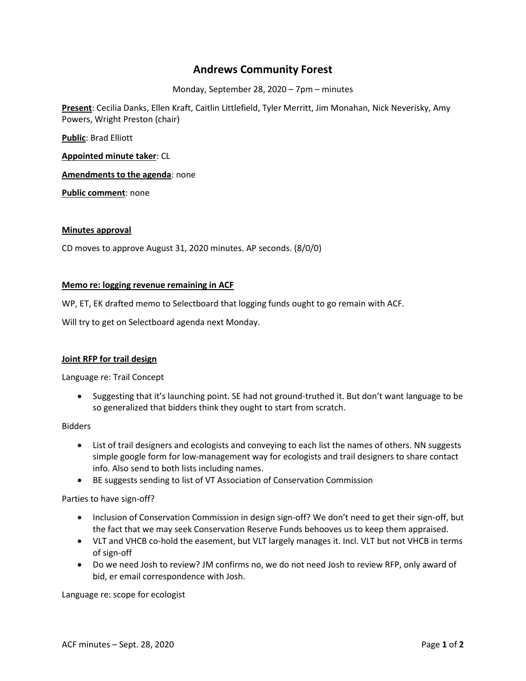# **Andrews Community Forest**

Monday, September 28, 2020 – 7pm – minutes

**Present**: Cecilia Danks, Ellen Kraft, Caitlin Littlefield, Tyler Merritt, Jim Monahan, Nick Neverisky, Amy Powers, Wright Preston (chair)

**Public**: Brad Elliott

**Appointed minute taker**: CL

**Amendments to the agenda**: none

**Public comment**: none

# **Minutes approval**

CD moves to approve August 31, 2020 minutes. AP seconds. (8/0/0)

## **Memo re: logging revenue remaining in ACF**

WP, ET, EK drafted memo to Selectboard that logging funds ought to go remain with ACF.

Will try to get on Selectboard agenda next Monday.

# **Joint RFP for trail design**

Language re: Trail Concept

 Suggesting that it's launching point. SE had not ground-truthed it. But don't want language to be so generalized that bidders think they ought to start from scratch.

Bidders

- List of trail designers and ecologists and conveying to each list the names of others. NN suggests simple google form for low-management way for ecologists and trail designers to share contact info. Also send to both lists including names.
- BE suggests sending to list of VT Association of Conservation Commission

Parties to have sign-off?

- Inclusion of Conservation Commission in design sign-off? We don't need to get their sign-off, but the fact that we may seek Conservation Reserve Funds behooves us to keep them appraised.
- VLT and VHCB co-hold the easement, but VLT largely manages it. Incl. VLT but not VHCB in terms of sign-off
- Do we need Josh to review? JM confirms no, we do not need Josh to review RFP, only award of bid, er email correspondence with Josh.

Language re: scope for ecologist